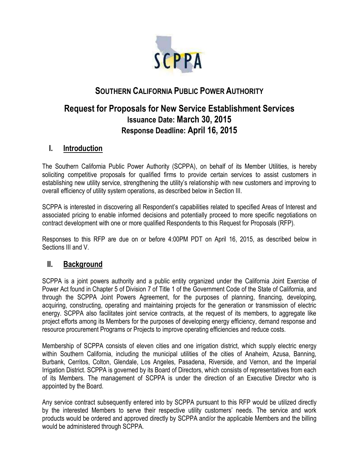

# **SOUTHERN CALIFORNIA PUBLIC POWER AUTHORITY**

# **Request for Proposals for New Service Establishment Services Issuance Date: March 30, 2015 Response Deadline: April 16, 2015**

## **I. Introduction**

The Southern California Public Power Authority (SCPPA), on behalf of its Member Utilities, is hereby soliciting competitive proposals for qualified firms to provide certain services to assist customers in establishing new utility service, strengthening the utility's relationship with new customers and improving to overall efficiency of utility system operations, as described below in Section III.

SCPPA is interested in discovering all Respondent's capabilities related to specified Areas of Interest and associated pricing to enable informed decisions and potentially proceed to more specific negotiations on contract development with one or more qualified Respondents to this Request for Proposals (RFP).

Responses to this RFP are due on or before 4:00PM PDT on April 16, 2015, as described below in Sections III and V

### **II. Background**

SCPPA is a joint powers authority and a public entity organized under the California Joint Exercise of Power Act found in Chapter 5 of Division 7 of Title 1 of the Government Code of the State of California, and through the SCPPA Joint Powers Agreement, for the purposes of planning, financing, developing, acquiring, constructing, operating and maintaining projects for the generation or transmission of electric energy. SCPPA also facilitates joint service contracts, at the request of its members, to aggregate like project efforts among its Members for the purposes of developing energy efficiency, demand response and resource procurement Programs or Projects to improve operating efficiencies and reduce costs.

Membership of SCPPA consists of eleven cities and one irrigation district, which supply electric energy within Southern California, including the municipal utilities of the cities of Anaheim, Azusa, Banning, Burbank, Cerritos, Colton, Glendale, Los Angeles, Pasadena, Riverside, and Vernon, and the Imperial Irrigation District. SCPPA is governed by its Board of Directors, which consists of representatives from each of its Members. The management of SCPPA is under the direction of an Executive Director who is appointed by the Board.

Any service contract subsequently entered into by SCPPA pursuant to this RFP would be utilized directly by the interested Members to serve their respective utility customers' needs. The service and work products would be ordered and approved directly by SCPPA and/or the applicable Members and the billing would be administered through SCPPA.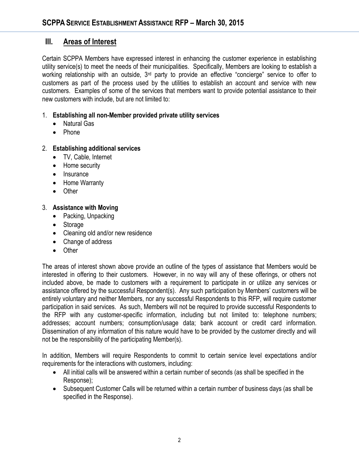### **III. Areas of Interest**

Certain SCPPA Members have expressed interest in enhancing the customer experience in establishing utility service(s) to meet the needs of their municipalities. Specifically, Members are looking to establish a working relationship with an outside, 3<sup>rd</sup> party to provide an effective "concierge" service to offer to customers as part of the process used by the utilities to establish an account and service with new customers. Examples of some of the services that members want to provide potential assistance to their new customers with include, but are not limited to:

#### 1. **Establishing all non-Member provided private utility services**

- Natural Gas
- Phone

#### 2. **Establishing additional services**

- TV, Cable, Internet
- Home security
- Insurance
- Home Warranty
- Other

#### 3. **Assistance with Moving**

- Packing, Unpacking
- Storage
- Cleaning old and/or new residence
- Change of address
- Other

The areas of interest shown above provide an outline of the types of assistance that Members would be interested in offering to their customers. However, in no way will any of these offerings, or others not included above, be made to customers with a requirement to participate in or utilize any services or assistance offered by the successful Respondent(s). Any such participation by Members' customers will be entirely voluntary and neither Members, nor any successful Respondents to this RFP, will require customer participation in said services. As such, Members will not be required to provide successful Respondents to the RFP with any customer-specific information, including but not limited to: telephone numbers; addresses; account numbers; consumption/usage data; bank account or credit card information. Dissemination of any information of this nature would have to be provided by the customer directly and will not be the responsibility of the participating Member(s).

In addition, Members will require Respondents to commit to certain service level expectations and/or requirements for the interactions with customers, including:

- All initial calls will be answered within a certain number of seconds (as shall be specified in the Response);
- Subsequent Customer Calls will be returned within a certain number of business days (as shall be specified in the Response).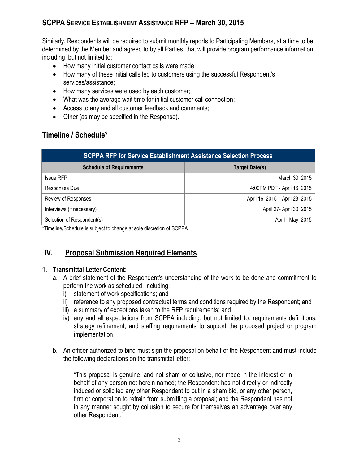Similarly, Respondents will be required to submit monthly reports to Participating Members, at a time to be determined by the Member and agreed to by all Parties, that will provide program performance information including, but not limited to:

- How many initial customer contact calls were made;
- How many of these initial calls led to customers using the successful Respondent's services/assistance;
- How many services were used by each customer;
- What was the average wait time for initial customer call connection;
- Access to any and all customer feedback and comments;
- Other (as may be specified in the Response).

## **Timeline / Schedule\***

| <b>SCPPA RFP for Service Establishment Assistance Selection Process</b> |                                 |
|-------------------------------------------------------------------------|---------------------------------|
| <b>Schedule of Requirements</b>                                         | <b>Target Date(s)</b>           |
| <b>Issue RFP</b>                                                        | March 30, 2015                  |
| Responses Due                                                           | 4:00PM PDT - April 16, 2015     |
| Review of Responses                                                     | April 16, 2015 - April 23, 2015 |
| Interviews (if necessary)                                               | April 27- April 30, 2015        |
| Selection of Respondent(s)                                              | April - May, 2015               |

**\***Timeline/Schedule is subject to change at sole discretion of SCPPA.

## **IV. Proposal Submission Required Elements**

#### **1. Transmittal Letter Content:**

- a. A brief statement of the Respondent's understanding of the work to be done and commitment to perform the work as scheduled, including:
	- i) statement of work specifications; and
	- ii) reference to any proposed contractual terms and conditions required by the Respondent; and
	- iii) a summary of exceptions taken to the RFP requirements; and
	- iv) any and all expectations from SCPPA including, but not limited to: requirements definitions, strategy refinement, and staffing requirements to support the proposed project or program implementation.
- b. An officer authorized to bind must sign the proposal on behalf of the Respondent and must include the following declarations on the transmittal letter:

"This proposal is genuine, and not sham or collusive, nor made in the interest or in behalf of any person not herein named; the Respondent has not directly or indirectly induced or solicited any other Respondent to put in a sham bid, or any other person, firm or corporation to refrain from submitting a proposal; and the Respondent has not in any manner sought by collusion to secure for themselves an advantage over any other Respondent."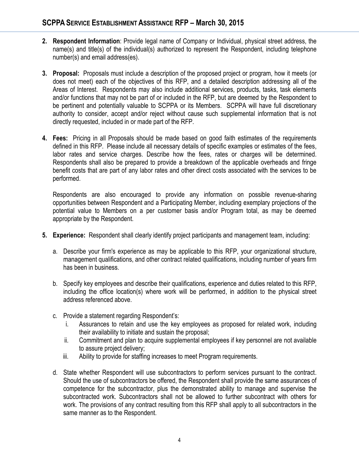- **2. Respondent Information**: Provide legal name of Company or Individual, physical street address, the name(s) and title(s) of the individual(s) authorized to represent the Respondent, including telephone number(s) and email address(es).
- **3. Proposal:** Proposals must include a description of the proposed project or program, how it meets (or does not meet) each of the objectives of this RFP, and a detailed description addressing all of the Areas of Interest. Respondents may also include additional services, products, tasks, task elements and/or functions that may not be part of or included in the RFP, but are deemed by the Respondent to be pertinent and potentially valuable to SCPPA or its Members. SCPPA will have full discretionary authority to consider, accept and/or reject without cause such supplemental information that is not directly requested, included in or made part of the RFP.
- **4. Fees:** Pricing in all Proposals should be made based on good faith estimates of the requirements defined in this RFP. Please include all necessary details of specific examples or estimates of the fees, labor rates and service charges. Describe how the fees, rates or charges will be determined. Respondents shall also be prepared to provide a breakdown of the applicable overheads and fringe benefit costs that are part of any labor rates and other direct costs associated with the services to be performed.

Respondents are also encouraged to provide any information on possible revenue-sharing opportunities between Respondent and a Participating Member, including exemplary projections of the potential value to Members on a per customer basis and/or Program total, as may be deemed appropriate by the Respondent.

- **5. Experience:** Respondent shall clearly identify project participants and management team, including:
	- a. Describe your firm's experience as may be applicable to this RFP, your organizational structure, management qualifications, and other contract related qualifications, including number of years firm has been in business.
	- b. Specify key employees and describe their qualifications, experience and duties related to this RFP, including the office location(s) where work will be performed, in addition to the physical street address referenced above.
	- c. Provide a statement regarding Respondent's:
		- i. Assurances to retain and use the key employees as proposed for related work, including their availability to initiate and sustain the proposal;
		- ii. Commitment and plan to acquire supplemental employees if key personnel are not available to assure project delivery;
		- iii. Ability to provide for staffing increases to meet Program requirements.
	- d. State whether Respondent will use subcontractors to perform services pursuant to the contract. Should the use of subcontractors be offered, the Respondent shall provide the same assurances of competence for the subcontractor, plus the demonstrated ability to manage and supervise the subcontracted work. Subcontractors shall not be allowed to further subcontract with others for work. The provisions of any contract resulting from this RFP shall apply to all subcontractors in the same manner as to the Respondent.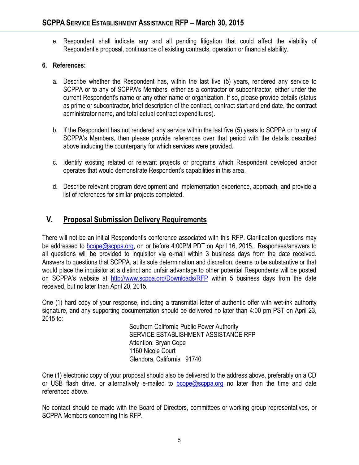e. Respondent shall indicate any and all pending litigation that could affect the viability of Respondent's proposal, continuance of existing contracts, operation or financial stability.

#### **6. References:**

- a. Describe whether the Respondent has, within the last five (5) years, rendered any service to SCPPA or to any of SCPPA's Members, either as a contractor or subcontractor, either under the current Respondent's name or any other name or organization. If so, please provide details (status as prime or subcontractor, brief description of the contract, contract start and end date, the contract administrator name, and total actual contract expenditures).
- b. If the Respondent has not rendered any service within the last five (5) years to SCPPA or to any of SCPPA's Members, then please provide references over that period with the details described above including the counterparty for which services were provided.
- c. Identify existing related or relevant projects or programs which Respondent developed and/or operates that would demonstrate Respondent's capabilities in this area.
- d. Describe relevant program development and implementation experience, approach, and provide a list of references for similar projects completed.

## **V. Proposal Submission Delivery Requirements**

There will not be an initial Respondent's conference associated with this RFP. Clarification questions may be addressed to [bcope@scppa.org,](mailto:bcope@scppa.org) on or before 4:00PM PDT on April 16, 2015. Responses/answers to all questions will be provided to inquisitor via e-mail within 3 business days from the date received. Answers to questions that SCPPA, at its sole determination and discretion, deems to be substantive or that would place the inquisitor at a distinct and unfair advantage to other potential Respondents will be posted on SCPPA's website at http://www.scppa.org/Downloads/RFP within 5 business days from the date received, but no later than April 20, 2015.

One (1) hard copy of your response, including a transmittal letter of authentic offer with wet-ink authority signature, and any supporting documentation should be delivered no later than 4:00 pm PST on April 23, 2015 to:

> Southern California Public Power Authority SERVICE ESTABLISHMENT ASSISTANCE RFP Attention: Bryan Cope 1160 Nicole Court Glendora, California 91740

One (1) electronic copy of your proposal should also be delivered to the address above, preferably on a CD or USB flash drive, or alternatively e-mailed to  $bcope@scppa.org$  no later than the time and date referenced above.

No contact should be made with the Board of Directors, committees or working group representatives, or SCPPA Members concerning this RFP.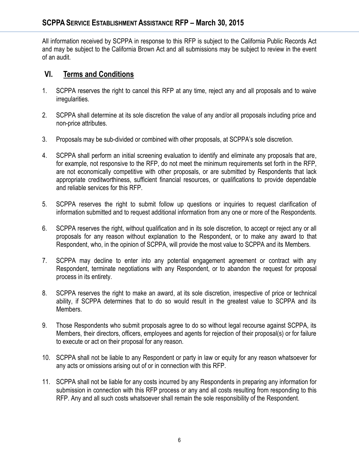All information received by SCPPA in response to this RFP is subject to the California Public Records Act and may be subject to the California Brown Act and all submissions may be subject to review in the event of an audit.

### **VI. Terms and Conditions**

- 1. SCPPA reserves the right to cancel this RFP at any time, reject any and all proposals and to waive irregularities.
- 2. SCPPA shall determine at its sole discretion the value of any and/or all proposals including price and non-price attributes.
- 3. Proposals may be sub-divided or combined with other proposals, at SCPPA's sole discretion.
- 4. SCPPA shall perform an initial screening evaluation to identify and eliminate any proposals that are, for example, not responsive to the RFP, do not meet the minimum requirements set forth in the RFP, are not economically competitive with other proposals, or are submitted by Respondents that lack appropriate creditworthiness, sufficient financial resources, or qualifications to provide dependable and reliable services for this RFP.
- 5. SCPPA reserves the right to submit follow up questions or inquiries to request clarification of information submitted and to request additional information from any one or more of the Respondents.
- 6. SCPPA reserves the right, without qualification and in its sole discretion, to accept or reject any or all proposals for any reason without explanation to the Respondent, or to make any award to that Respondent, who, in the opinion of SCPPA, will provide the most value to SCPPA and its Members.
- 7. SCPPA may decline to enter into any potential engagement agreement or contract with any Respondent, terminate negotiations with any Respondent, or to abandon the request for proposal process in its entirety.
- 8. SCPPA reserves the right to make an award, at its sole discretion, irrespective of price or technical ability, if SCPPA determines that to do so would result in the greatest value to SCPPA and its Members.
- 9. Those Respondents who submit proposals agree to do so without legal recourse against SCPPA, its Members, their directors, officers, employees and agents for rejection of their proposal(s) or for failure to execute or act on their proposal for any reason.
- 10. SCPPA shall not be liable to any Respondent or party in law or equity for any reason whatsoever for any acts or omissions arising out of or in connection with this RFP.
- 11. SCPPA shall not be liable for any costs incurred by any Respondents in preparing any information for submission in connection with this RFP process or any and all costs resulting from responding to this RFP. Any and all such costs whatsoever shall remain the sole responsibility of the Respondent.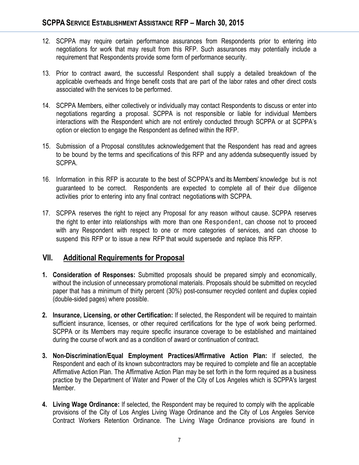- 12. SCPPA may require certain performance assurances from Respondents prior to entering into negotiations for work that may result from this RFP. Such assurances may potentially include a requirement that Respondents provide some form of performance security.
- 13. Prior to contract award, the successful Respondent shall supply a detailed breakdown of the applicable overheads and fringe benefit costs that are part of the labor rates and other direct costs associated with the services to be performed.
- 14. SCPPA Members, either collectively or individually may contact Respondents to discuss or enter into negotiations regarding a proposal. SCPPA is not responsible or liable for individual Members interactions with the Respondent which are not entirely conducted through SCPPA or at SCPPA's option or election to engage the Respondent as defined within the RFP.
- 15. Submission of a Proposal constitutes acknowledgement that the Respondent has read and agrees to be bound by the terms and specifications of this RFP and any addenda subsequently issued by SCPPA.
- 16. Information in this RFP is accurate to the best of SCPPA's and its Members' knowledge but is not guaranteed to be correct. Respondents are expected to complete all of their due diligence activities prior to entering into any final contract negotiations with SCPPA.
- 17. SCPPA reserves the right to reject any Proposal for any reason without cause. SCPPA reserves the right to enter into relationships with more than one Respondent, can choose not to proceed with any Respondent with respect to one or more categories of services, and can choose to suspend this RFP or to issue a new RFP that would supersede and replace this RFP.

### **VII. Additional Requirements for Proposal**

- **1. Consideration of Responses:** Submitted proposals should be prepared simply and economically, without the inclusion of unnecessary promotional materials. Proposals should be submitted on recycled paper that has a minimum of thirty percent (30%) post-consumer recycled content and duplex copied (double-sided pages) where possible.
- **2. Insurance, Licensing, or other Certification:** If selected, the Respondent will be required to maintain sufficient insurance, licenses, or other required certifications for the type of work being performed. SCPPA or its Members may require specific insurance coverage to be established and maintained during the course of work and as a condition of award or continuation of contract.
- **3. Non-Discrimination/Equal Employment Practices/Affirmative Action Plan:** If selected, the Respondent and each of its known subcontractors may be required to complete and file an acceptable Affirmative Action Plan. The Affirmative Action Plan may be set forth in the form required as a business practice by the Department of Water and Power of the City of Los Angeles which is SCPPA's largest Member.
- **4. Living Wage Ordinance:** If selected, the Respondent may be required to comply with the applicable provisions of the City of Los Angles Living Wage Ordinance and the City of Los Angeles Service Contract Workers Retention Ordinance. The Living Wage Ordinance provisions are found in